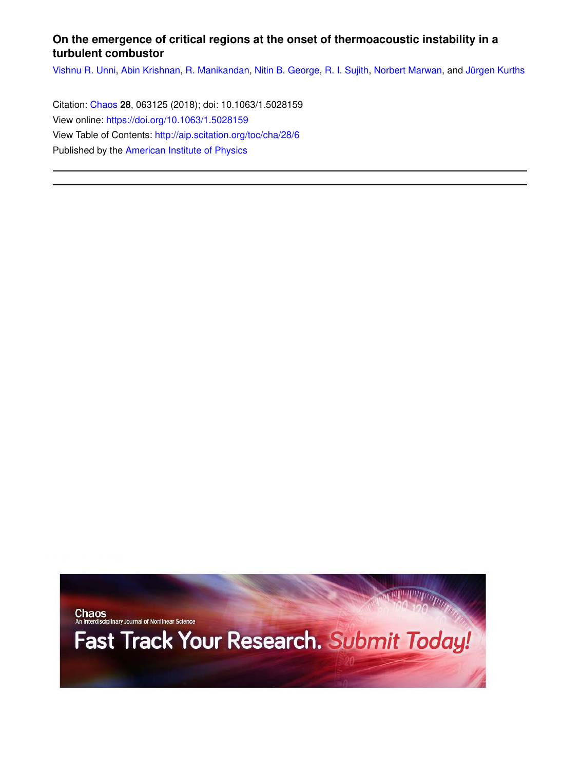# **On the emergence of critical regions at the onset of thermoacoustic instability in a turbulent combustor**

Vishnu R. Unni, Abin Krishnan, R. Manikandan, Nitin B. George, R. I. Sujith, Norbert Marwan, and Jürgen Kurths

Citation: Chaos **28**, 063125 (2018); doi: 10.1063/1.5028159 View online: https://doi.org/10.1063/1.5028159 View Table of Contents: http://aip.scitation.org/toc/cha/28/6 Published by the American Institute of Physics

**Chaos**<br>An Interdisciplinary Journal of Nonlinear Science Fast Track Your Research. Submit Today!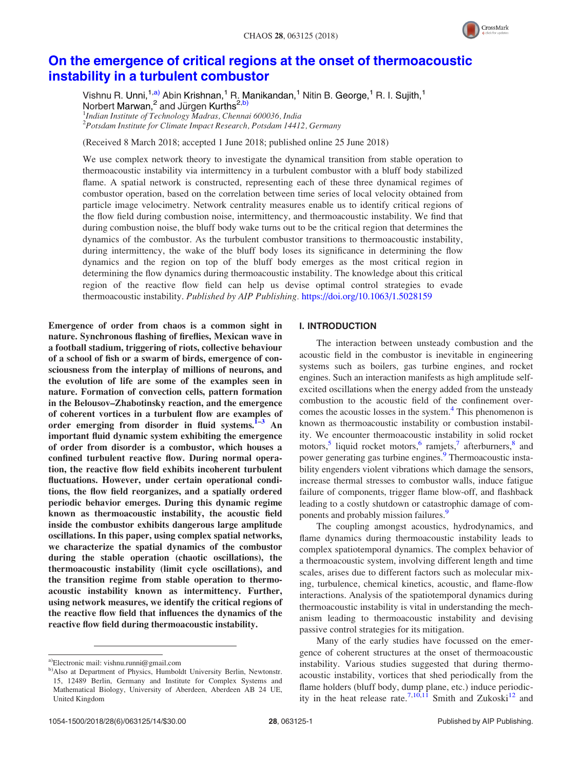

# On the emergence of critical regions at the onset of thermoacoustic instability in a turbulent combustor

Vishnu R. Unni,<sup>1,a)</sup> Abin Krishnan,<sup>1</sup> R. Manikandan,<sup>1</sup> Nitin B. George,<sup>1</sup> R. I. Sujith,<sup>1</sup> Norbert Marwan,<sup>2</sup> and Jürgen Kurths<sup>2,b)</sup> 1 *Indian Institute of Technology Madras, Chennai 600036, India*

2 *Potsdam Institute for Climate Impact Research, Potsdam 14412, Germany*

(Received 8 March 2018; accepted 1 June 2018; published online 25 June 2018)

We use complex network theory to investigate the dynamical transition from stable operation to thermoacoustic instability via intermittency in a turbulent combustor with a bluff body stabilized flame. A spatial network is constructed, representing each of these three dynamical regimes of combustor operation, based on the correlation between time series of local velocity obtained from particle image velocimetry. Network centrality measures enable us to identify critical regions of the flow field during combustion noise, intermittency, and thermoacoustic instability. We find that during combustion noise, the bluff body wake turns out to be the critical region that determines the dynamics of the combustor. As the turbulent combustor transitions to thermoacoustic instability, during intermittency, the wake of the bluff body loses its significance in determining the flow dynamics and the region on top of the bluff body emerges as the most critical region in determining the flow dynamics during thermoacoustic instability. The knowledge about this critical region of the reactive flow field can help us devise optimal control strategies to evade thermoacoustic instability. *Published by AIP Publishing.* https://doi.org/10.1063/1.5028159

Emergence of order from chaos is a common sight in nature. Synchronous flashing of fireflies, Mexican wave in a football stadium, triggering of riots, collective behaviour of a school of fish or a swarm of birds, emergence of consciousness from the interplay of millions of neurons, and the evolution of life are some of the examples seen in nature. Formation of convection cells, pattern formation in the Belousov–Zhabotinsky reaction, and the emergence of coherent vortices in a turbulent flow are examples of order emerging from disorder in fluid systems.<sup>1–3</sup> An important fluid dynamic system exhibiting the emergence of order from disorder is a combustor, which houses a confined turbulent reactive flow. During normal operation, the reactive flow field exhibits incoherent turbulent fluctuations. However, under certain operational conditions, the flow field reorganizes, and a spatially ordered periodic behavior emerges. During this dynamic regime known as thermoacoustic instability, the acoustic field inside the combustor exhibits dangerous large amplitude oscillations. In this paper, using complex spatial networks, we characterize the spatial dynamics of the combustor during the stable operation (chaotic oscillations), the thermoacoustic instability (limit cycle oscillations), and the transition regime from stable operation to thermoacoustic instability known as intermittency. Further, using network measures, we identify the critical regions of the reactive flow field that influences the dynamics of the reactive flow field during thermoacoustic instability.

## I. INTRODUCTION

The interaction between unsteady combustion and the acoustic field in the combustor is inevitable in engineering systems such as boilers, gas turbine engines, and rocket engines. Such an interaction manifests as high amplitude selfexcited oscillations when the energy added from the unsteady combustion to the acoustic field of the confinement overcomes the acoustic losses in the system.<sup>4</sup> This phenomenon is known as thermoacoustic instability or combustion instability. We encounter thermoacoustic instability in solid rocket motors,<sup>5</sup> liquid rocket motors,<sup>6</sup> ramjets,<sup>7</sup> afterburners,<sup>8</sup> and power generating gas turbine engines.<sup>9</sup> Thermoacoustic instability engenders violent vibrations which damage the sensors, increase thermal stresses to combustor walls, induce fatigue failure of components, trigger flame blow-off, and flashback leading to a costly shutdown or catastrophic damage of components and probably mission failures.<sup>9</sup>

The coupling amongst acoustics, hydrodynamics, and flame dynamics during thermoacoustic instability leads to complex spatiotemporal dynamics. The complex behavior of a thermoacoustic system, involving different length and time scales, arises due to different factors such as molecular mixing, turbulence, chemical kinetics, acoustic, and flame-flow interactions. Analysis of the spatiotemporal dynamics during thermoacoustic instability is vital in understanding the mechanism leading to thermoacoustic instability and devising passive control strategies for its mitigation.

Many of the early studies have focussed on the emergence of coherent structures at the onset of thermoacoustic instability. Various studies suggested that during thermoacoustic instability, vortices that shed periodically from the flame holders (bluff body, dump plane, etc.) induce periodicity in the heat release rate.<sup>7,10,11</sup> Smith and Zukoski<sup>12</sup> and

a)Electronic mail: vishnu.runni@gmail.com

b)Also at Department of Physics, Humboldt University Berlin, Newtonstr. 15, 12489 Berlin, Germany and Institute for Complex Systems and Mathematical Biology, University of Aberdeen, Aberdeen AB 24 UE, United Kingdom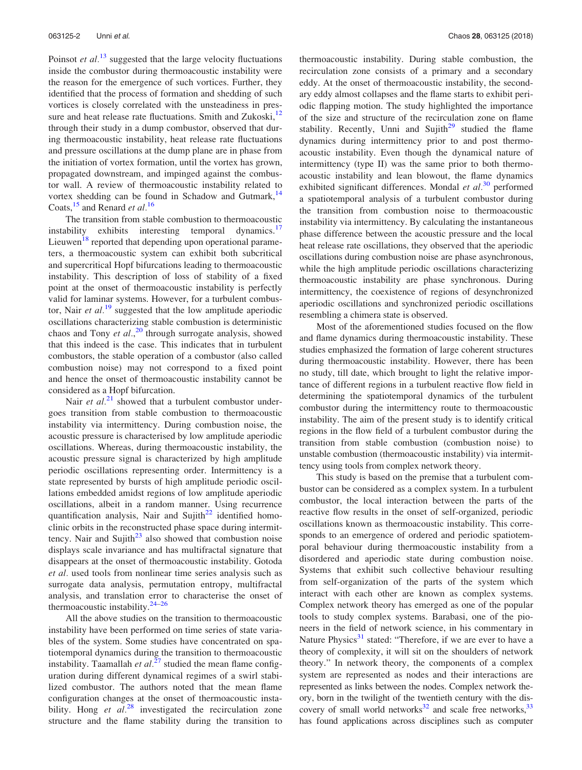Poinsot *et al.*<sup>13</sup> suggested that the large velocity fluctuations inside the combustor during thermoacoustic instability were the reason for the emergence of such vortices. Further, they identified that the process of formation and shedding of such vortices is closely correlated with the unsteadiness in pressure and heat release rate fluctuations. Smith and Zukoski,<sup>12</sup> through their study in a dump combustor, observed that during thermoacoustic instability, heat release rate fluctuations and pressure oscillations at the dump plane are in phase from the initiation of vortex formation, until the vortex has grown, propagated downstream, and impinged against the combustor wall. A review of thermoacoustic instability related to vortex shedding can be found in Schadow and Gutmark,<sup>14</sup> Coats,<sup>15</sup> and Renard *et al.*<sup>16</sup>

The transition from stable combustion to thermoacoustic instability exhibits interesting temporal dynamics.<sup>17</sup> Lieuwen<sup>18</sup> reported that depending upon operational parameters, a thermoacoustic system can exhibit both subcritical and supercritical Hopf bifurcations leading to thermoacoustic instability. This description of loss of stability of a fixed point at the onset of thermoacoustic instability is perfectly valid for laminar systems. However, for a turbulent combustor, Nair *et al.*<sup>19</sup> suggested that the low amplitude aperiodic oscillations characterizing stable combustion is deterministic chaos and Tony *et al.*,<sup>20</sup> through surrogate analysis, showed that this indeed is the case. This indicates that in turbulent combustors, the stable operation of a combustor (also called combustion noise) may not correspond to a fixed point and hence the onset of thermoacoustic instability cannot be considered as a Hopf bifurcation.

Nair *et al.*<sup>21</sup> showed that a turbulent combustor undergoes transition from stable combustion to thermoacoustic instability via intermittency. During combustion noise, the acoustic pressure is characterised by low amplitude aperiodic oscillations. Whereas, during thermoacoustic instability, the acoustic pressure signal is characterized by high amplitude periodic oscillations representing order. Intermittency is a state represented by bursts of high amplitude periodic oscillations embedded amidst regions of low amplitude aperiodic oscillations, albeit in a random manner. Using recurrence quantification analysis, Nair and Sujith $^{22}$  identified homoclinic orbits in the reconstructed phase space during intermittency. Nair and Sujith $^{23}$  also showed that combustion noise displays scale invariance and has multifractal signature that disappears at the onset of thermoacoustic instability. Gotoda *et al.* used tools from nonlinear time series analysis such as surrogate data analysis, permutation entropy, multifractal analysis, and translation error to characterise the onset of thermoacoustic instability. $24-26$ 

All the above studies on the transition to thermoacoustic instability have been performed on time series of state variables of the system. Some studies have concentrated on spatiotemporal dynamics during the transition to thermoacoustic instability. Taamallah *et al.*<sup>27</sup> studied the mean flame configuration during different dynamical regimes of a swirl stabilized combustor. The authors noted that the mean flame configuration changes at the onset of thermoacoustic instability. Hong *et al.*<sup>28</sup> investigated the recirculation zone structure and the flame stability during the transition to thermoacoustic instability. During stable combustion, the recirculation zone consists of a primary and a secondary eddy. At the onset of thermoacoustic instability, the secondary eddy almost collapses and the flame starts to exhibit periodic flapping motion. The study highlighted the importance of the size and structure of the recirculation zone on flame stability. Recently, Unni and Sujith $^{29}$  studied the flame dynamics during intermittency prior to and post thermoacoustic instability. Even though the dynamical nature of intermittency (type II) was the same prior to both thermoacoustic instability and lean blowout, the flame dynamics exhibited significant differences. Mondal *et al.*<sup>30</sup> performed a spatiotemporal analysis of a turbulent combustor during the transition from combustion noise to thermoacoustic instability via intermittency. By calculating the instantaneous phase difference between the acoustic pressure and the local heat release rate oscillations, they observed that the aperiodic oscillations during combustion noise are phase asynchronous, while the high amplitude periodic oscillations characterizing thermoacoustic instability are phase synchronous. During intermittency, the coexistence of regions of desynchronized aperiodic oscillations and synchronized periodic oscillations resembling a chimera state is observed.

Most of the aforementioned studies focused on the flow and flame dynamics during thermoacoustic instability. These studies emphasized the formation of large coherent structures during thermoacoustic instability. However, there has been no study, till date, which brought to light the relative importance of different regions in a turbulent reactive flow field in determining the spatiotemporal dynamics of the turbulent combustor during the intermittency route to thermoacoustic instability. The aim of the present study is to identify critical regions in the flow field of a turbulent combustor during the transition from stable combustion (combustion noise) to unstable combustion (thermoacoustic instability) via intermittency using tools from complex network theory.

This study is based on the premise that a turbulent combustor can be considered as a complex system. In a turbulent combustor, the local interaction between the parts of the reactive flow results in the onset of self-organized, periodic oscillations known as thermoacoustic instability. This corresponds to an emergence of ordered and periodic spatiotemporal behaviour during thermoacoustic instability from a disordered and aperiodic state during combustion noise. Systems that exhibit such collective behaviour resulting from self-organization of the parts of the system which interact with each other are known as complex systems. Complex network theory has emerged as one of the popular tools to study complex systems. Barabasi, one of the pioneers in the field of network science, in his commentary in Nature Physics $31$  stated: "Therefore, if we are ever to have a theory of complexity, it will sit on the shoulders of network theory." In network theory, the components of a complex system are represented as nodes and their interactions are represented as links between the nodes. Complex network theory, born in the twilight of the twentieth century with the discovery of small world networks $32$  and scale free networks,  $33$ has found applications across disciplines such as computer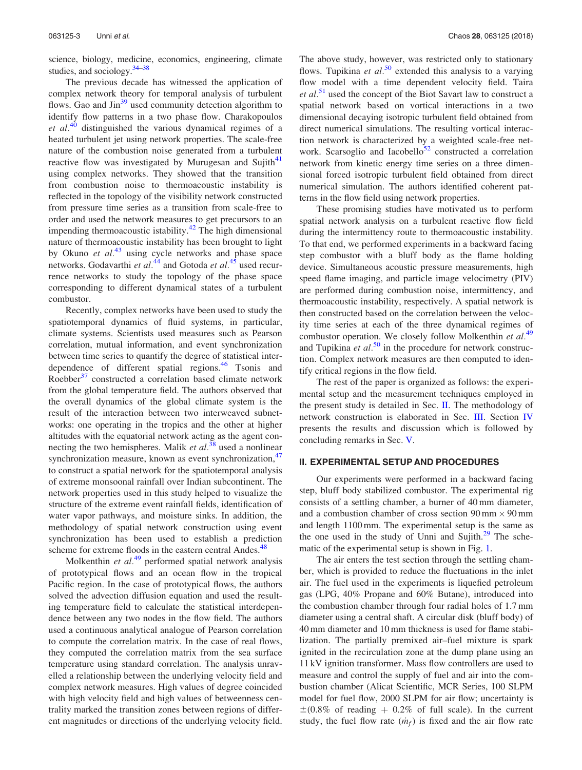science, biology, medicine, economics, engineering, climate studies, and sociology. $34-38$ 

The previous decade has witnessed the application of complex network theory for temporal analysis of turbulent flows. Gao and Jin<sup>39</sup> used community detection algorithm to identify flow patterns in a two phase flow. Charakopoulos *et al.*<sup>40</sup> distinguished the various dynamical regimes of a heated turbulent jet using network properties. The scale-free nature of the combustion noise generated from a turbulent reactive flow was investigated by Murugesan and Sujith $41$ using complex networks. They showed that the transition from combustion noise to thermoacoustic instability is reflected in the topology of the visibility network constructed from pressure time series as a transition from scale-free to order and used the network measures to get precursors to an impending thermoacoustic istability.<sup>42</sup> The high dimensional nature of thermoacoustic instability has been brought to light by Okuno *et al.*<sup>43</sup> using cycle networks and phase space networks. Godavarthi *et al.*<sup>44</sup> and Gotoda *et al.*<sup>45</sup> used recurrence networks to study the topology of the phase space corresponding to different dynamical states of a turbulent combustor.

Recently, complex networks have been used to study the spatiotemporal dynamics of fluid systems, in particular, climate systems. Scientists used measures such as Pearson correlation, mutual information, and event synchronization between time series to quantify the degree of statistical interdependence of different spatial regions.<sup>46</sup> Tsonis and Roebber<sup>37</sup> constructed a correlation based climate network from the global temperature field. The authors observed that the overall dynamics of the global climate system is the result of the interaction between two interweaved subnetworks: one operating in the tropics and the other at higher altitudes with the equatorial network acting as the agent connecting the two hemispheres. Malik *et al.*<sup>38</sup> used a nonlinear synchronization measure, known as event synchronization, $47$ to construct a spatial network for the spatiotemporal analysis of extreme monsoonal rainfall over Indian subcontinent. The network properties used in this study helped to visualize the structure of the extreme event rainfall fields, identification of water vapor pathways, and moisture sinks. In addition, the methodology of spatial network construction using event synchronization has been used to establish a prediction scheme for extreme floods in the eastern central Andes.<sup>48</sup>

Molkenthin *et al.*<sup>49</sup> performed spatial network analysis of prototypical flows and an ocean flow in the tropical Pacific region. In the case of prototypical flows, the authors solved the advection diffusion equation and used the resulting temperature field to calculate the statistical interdependence between any two nodes in the flow field. The authors used a continuous analytical analogue of Pearson correlation to compute the correlation matrix. In the case of real flows, they computed the correlation matrix from the sea surface temperature using standard correlation. The analysis unravelled a relationship between the underlying velocity field and complex network measures. High values of degree coincided with high velocity field and high values of betweenness centrality marked the transition zones between regions of different magnitudes or directions of the underlying velocity field. The above study, however, was restricted only to stationary flows. Tupikina *et al.*<sup>50</sup> extended this analysis to a varying flow model with a time dependent velocity field. Taira *et al.*<sup>51</sup> used the concept of the Biot Savart law to construct a spatial network based on vortical interactions in a two dimensional decaying isotropic turbulent field obtained from direct numerical simulations. The resulting vortical interaction network is characterized by a weighted scale-free network. Scarsoglio and Iacobello<sup>52</sup> constructed a correlation network from kinetic energy time series on a three dimensional forced isotropic turbulent field obtained from direct numerical simulation. The authors identified coherent patterns in the flow field using network properties.

These promising studies have motivated us to perform spatial network analysis on a turbulent reactive flow field during the intermittency route to thermoacoustic instability. To that end, we performed experiments in a backward facing step combustor with a bluff body as the flame holding device. Simultaneous acoustic pressure measurements, high speed flame imaging, and particle image velocimetry (PIV) are performed during combustion noise, intermittency, and thermoacoustic instability, respectively. A spatial network is then constructed based on the correlation between the velocity time series at each of the three dynamical regimes of combustor operation. We closely follow Molkenthin *et al.*<sup>49</sup> and Tupikina *et al.*<sup>50</sup> in the procedure for network construction. Complex network measures are then computed to identify critical regions in the flow field.

The rest of the paper is organized as follows: the experimental setup and the measurement techniques employed in the present study is detailed in Sec. II. The methodology of network construction is elaborated in Sec. III. Section IV presents the results and discussion which is followed by concluding remarks in Sec. V.

## II. EXPERIMENTAL SETUP AND PROCEDURES

Our experiments were performed in a backward facing step, bluff body stabilized combustor. The experimental rig consists of a settling chamber, a burner of 40 mm diameter, and a combustion chamber of cross section  $90 \text{ mm} \times 90 \text{ mm}$ and length 1100 mm. The experimental setup is the same as the one used in the study of Unni and Sujith. $29$  The schematic of the experimental setup is shown in Fig. 1.

The air enters the test section through the settling chamber, which is provided to reduce the fluctuations in the inlet air. The fuel used in the experiments is liquefied petroleum gas (LPG, 40% Propane and 60% Butane), introduced into the combustion chamber through four radial holes of 1.7 mm diameter using a central shaft. A circular disk (bluff body) of 40 mm diameter and 10 mm thickness is used for flame stabilization. The partially premixed air–fuel mixture is spark ignited in the recirculation zone at the dump plane using an 11 kV ignition transformer. Mass flow controllers are used to measure and control the supply of fuel and air into the combustion chamber (Alicat Scientific, MCR Series, 100 SLPM model for fuel flow, 2000 SLPM for air flow; uncertainty is  $\pm (0.8\% \text{ of reading } +0.2\% \text{ of full scale}).$  In the current study, the fuel flow rate  $(m_f)$  is fixed and the air flow rate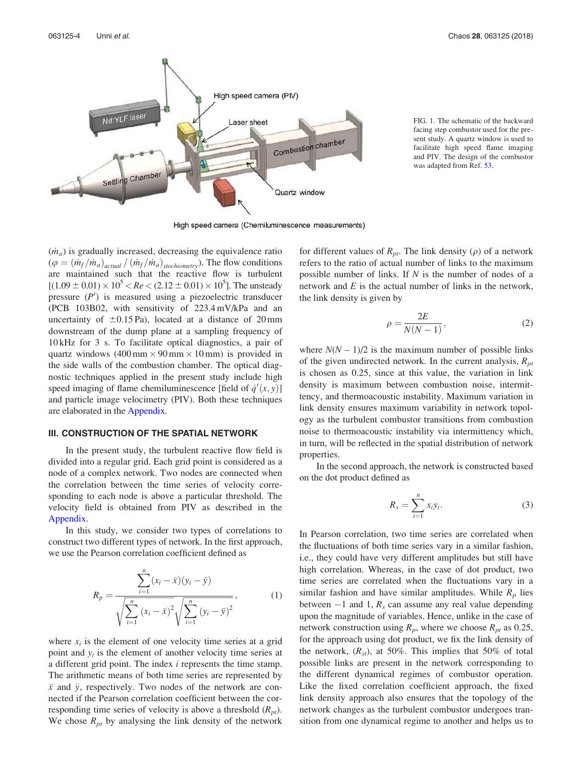

FIG. 1. The schematic of the backward facing step combustor used for the present study. A quartz window is used to facilitate high speed flame imaging and PIV. The design of the combustor was adapted from Ref. 53.

High speed camera (Chemiluminescence measurements)

 $(m_a)$  is gradually increased, decreasing the equivalence ratio  $(\varphi = (\dot{m}_f / \dot{m}_a)_{actual} / (\dot{m}_f / \dot{m}_a)_{stochimetry})$ . The flow conditions are maintained such that the reactive flow is turbulent  $[(1.09 \pm 0.01) \times 10^5 \times Re \times (2.12 \pm 0.01) \times 10^5]$ . The unsteady pressure  $(P')$  is measured using a piezoelectric transducer (PCB 103B02, with sensitivity of 223.4 mV/kPa and an uncertainty of  $\pm 0.15$  Pa), located at a distance of 20 mm downstream of the dump plane at a sampling frequency of 10 kHz for 3 s. To facilitate optical diagnostics, a pair of quartz windows  $(400 \text{ mm} \times 90 \text{ mm} \times 10 \text{ mm})$  is provided in the side walls of the combustion chamber. The optical diagnostic techniques applied in the present study include high speed imaging of flame chemiluminescence [field of  $\dot{q}'(x, y)$ ] and particle image velocimetry (PIV). Both these techniques are elaborated in the Appendix.

## III. CONSTRUCTION OF THE SPATIAL NETWORK

In the present study, the turbulent reactive flow field is divided into a regular grid. Each grid point is considered as a node of a complex network. Two nodes are connected when the correlation between the time series of velocity corresponding to each node is above a particular threshold. The velocity field is obtained from PIV as described in the Appendix.

In this study, we consider two types of correlations to construct two different types of network. In the first approach, we use the Pearson correlation coefficient defined as

$$
R_p = \frac{\sum_{i=1}^{n} (x_i - \bar{x})(y_i - \bar{y})}{\sqrt{\sum_{i=1}^{n} (x_i - \bar{x})^2} \sqrt{\sum_{i=1}^{n} (y_i - \bar{y})^2}},
$$
(1)

where  $x_i$  is the element of one velocity time series at a grid point and  $y_i$  is the element of another velocity time series at a different grid point. The index *i* represents the time stamp. The arithmetic means of both time series are represented by  $\bar{x}$  and  $\bar{y}$ , respectively. Two nodes of the network are connected if the Pearson correlation coefficient between the corresponding time series of velocity is above a threshold  $(R_{pt})$ . We chose  $R_{pt}$  by analysing the link density of the network for different values of  $R_{pt}$ . The link density ( $\rho$ ) of a network refers to the ratio of actual number of links to the maximum possible number of links. If *N* is the number of nodes of a network and *E* is the actual number of links in the network, the link density is given by

$$
\rho = \frac{2E}{N(N-1)},\tag{2}
$$

where  $N(N - 1)/2$  is the maximum number of possible links of the given undirected network. In the current analysis,  $R_{pt}$ is chosen as 0.25, since at this value, the variation in link density is maximum between combustion noise, intermittency, and thermoacoustic instability. Maximum variation in link density ensures maximum variability in network topology as the turbulent combustor transitions from combustion noise to thermoacoustic instability via intermittency which, in turn, will be reflected in the spatial distribution of network properties.

In the second approach, the network is constructed based on the dot product defined as

$$
R_s = \sum_{i=1}^n x_i y_i.
$$
 (3)

In Pearson correlation, two time series are correlated when the fluctuations of both time series vary in a similar fashion, i.e., they could have very different amplitudes but still have high correlation. Whereas, in the case of dot product, two time series are correlated when the fluctuations vary in a similar fashion and have similar amplitudes. While  $R_p$  lies between  $-1$  and 1,  $R_s$  can assume any real value depending upon the magnitude of variables. Hence, unlike in the case of network construction using  $R_p$ , where we choose  $R_{pt}$  as 0.25, for the approach using dot product, we fix the link density of the network,  $(R_{st})$ , at 50%. This implies that 50% of total possible links are present in the network corresponding to the different dynamical regimes of combustor operation. Like the fixed correlation coefficient approach, the fixed link density approach also ensures that the topology of the network changes as the turbulent combustor undergoes transition from one dynamical regime to another and helps us to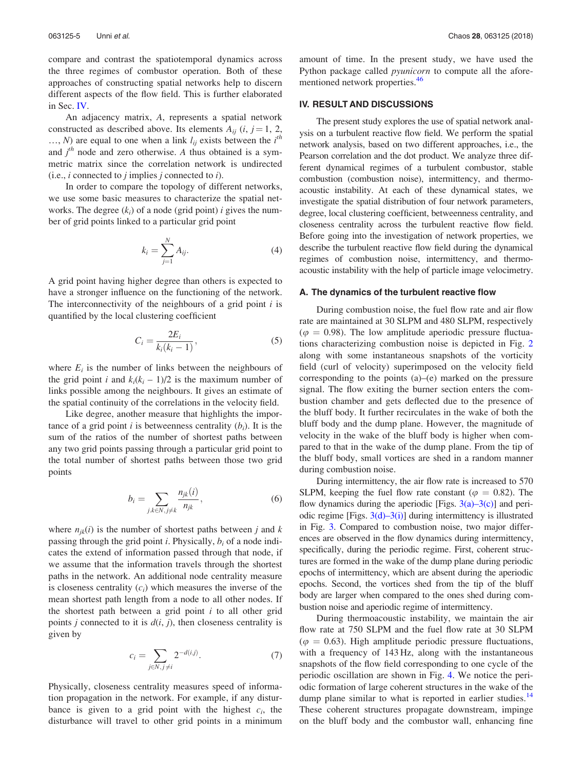compare and contrast the spatiotemporal dynamics across the three regimes of combustor operation. Both of these approaches of constructing spatial networks help to discern different aspects of the flow field. This is further elaborated in Sec. IV.

An adjacency matrix, *A*, represents a spatial network constructed as described above. Its elements  $A_{ij}$  (*i*, *j* = 1, 2, ..., *N*) are equal to one when a link  $l_{ij}$  exists between the  $i^{th}$ and  $j<sup>th</sup>$  node and zero otherwise. A thus obtained is a symmetric matrix since the correlation network is undirected (i.e., *i* connected to *j* implies *j* connected to *i*).

In order to compare the topology of different networks, we use some basic measures to characterize the spatial networks. The degree  $(k_i)$  of a node (grid point) *i* gives the number of grid points linked to a particular grid point

$$
k_i = \sum_{j=1}^{N} A_{ij}.
$$
 (4)

A grid point having higher degree than others is expected to have a stronger influence on the functioning of the network. The interconnectivity of the neighbours of a grid point *i* is quantified by the local clustering coefficient

$$
C_i = \frac{2E_i}{k_i(k_i - 1)},\tag{5}
$$

where  $E_i$  is the number of links between the neighbours of the grid point *i* and  $k_i(k_i - 1)/2$  is the maximum number of links possible among the neighbours. It gives an estimate of the spatial continuity of the correlations in the velocity field.

Like degree, another measure that highlights the importance of a grid point  $i$  is betweenness centrality  $(b_i)$ . It is the sum of the ratios of the number of shortest paths between any two grid points passing through a particular grid point to the total number of shortest paths between those two grid points

$$
b_i = \sum_{j,k \in N, j \neq k} \frac{n_{jk}(i)}{n_{jk}},\tag{6}
$$

where  $n_{ik}(i)$  is the number of shortest paths between *j* and *k* passing through the grid point *i*. Physically,  $b_i$  of a node indicates the extend of information passed through that node, if we assume that the information travels through the shortest paths in the network. An additional node centrality measure is closeness centrality  $(c_i)$  which measures the inverse of the mean shortest path length from a node to all other nodes. If the shortest path between a grid point *i* to all other grid points *j* connected to it is  $d(i, j)$ , then closeness centrality is given by

$$
c_i = \sum_{j \in N, j \neq i} 2^{-d(i,j)}.
$$
 (7)

Physically, closeness centrality measures speed of information propagation in the network. For example, if any disturbance is given to a grid point with the highest  $c_i$ , the disturbance will travel to other grid points in a minimum amount of time. In the present study, we have used the Python package called *pyunicorn* to compute all the aforementioned network properties.<sup>46</sup>

#### IV. RESULT AND DISCUSSIONS

The present study explores the use of spatial network analysis on a turbulent reactive flow field. We perform the spatial network analysis, based on two different approaches, i.e., the Pearson correlation and the dot product. We analyze three different dynamical regimes of a turbulent combustor, stable combustion (combustion noise), intermittency, and thermoacoustic instability. At each of these dynamical states, we investigate the spatial distribution of four network parameters, degree, local clustering coefficient, betweenness centrality, and closeness centrality across the turbulent reactive flow field. Before going into the investigation of network properties, we describe the turbulent reactive flow field during the dynamical regimes of combustion noise, intermittency, and thermoacoustic instability with the help of particle image velocimetry.

#### A. The dynamics of the turbulent reactive flow

During combustion noise, the fuel flow rate and air flow rate are maintained at 30 SLPM and 480 SLPM, respectively ( $\varphi = 0.98$ ). The low amplitude aperiodic pressure fluctuations characterizing combustion noise is depicted in Fig. 2 along with some instantaneous snapshots of the vorticity field (curl of velocity) superimposed on the velocity field corresponding to the points (a)–(e) marked on the pressure signal. The flow exiting the burner section enters the combustion chamber and gets deflected due to the presence of the bluff body. It further recirculates in the wake of both the bluff body and the dump plane. However, the magnitude of velocity in the wake of the bluff body is higher when compared to that in the wake of the dump plane. From the tip of the bluff body, small vortices are shed in a random manner during combustion noise.

During intermittency, the air flow rate is increased to 570 SLPM, keeping the fuel flow rate constant ( $\varphi = 0.82$ ). The flow dynamics during the aperiodic [Figs.  $3(a)-3(c)$ ] and periodic regime [Figs.  $3(d)-3(i)$ ] during intermittency is illustrated in Fig. 3. Compared to combustion noise, two major differences are observed in the flow dynamics during intermittency, specifically, during the periodic regime. First, coherent structures are formed in the wake of the dump plane during periodic epochs of intermittency, which are absent during the aperiodic epochs. Second, the vortices shed from the tip of the bluff body are larger when compared to the ones shed during combustion noise and aperiodic regime of intermittency.

During thermoacoustic instability, we maintain the air flow rate at 750 SLPM and the fuel flow rate at 30 SLPM ( $\varphi = 0.63$ ). High amplitude periodic pressure fluctuations, with a frequency of 143 Hz, along with the instantaneous snapshots of the flow field corresponding to one cycle of the periodic oscillation are shown in Fig. 4. We notice the periodic formation of large coherent structures in the wake of the dump plane similar to what is reported in earlier studies.<sup>14</sup> These coherent structures propagate downstream, impinge on the bluff body and the combustor wall, enhancing fine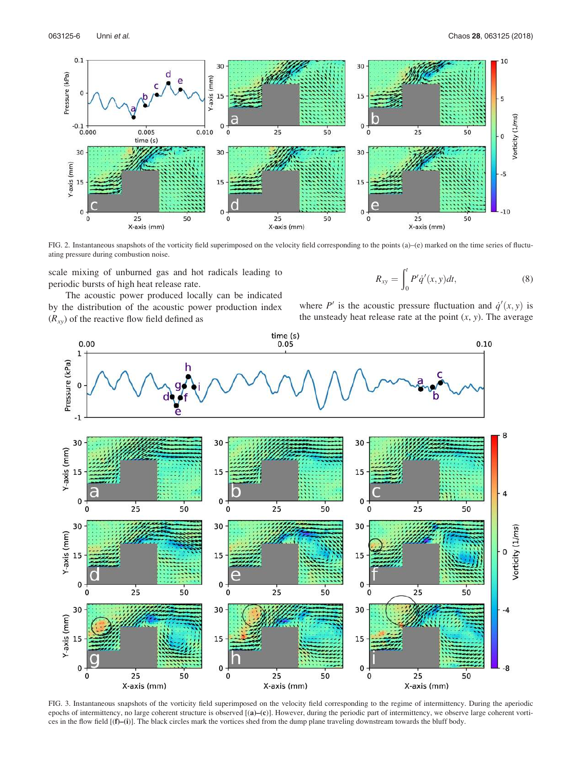

FIG. 2. Instantaneous snapshots of the vorticity field superimposed on the velocity field corresponding to the points (a)–(e) marked on the time series of fluctuating pressure during combustion noise.

scale mixing of unburned gas and hot radicals leading to periodic bursts of high heat release rate.

The acoustic power produced locally can be indicated by the distribution of the acoustic power production index  $(R_{xy})$  of the reactive flow field defined as

 $R_{xy} = \int_0^t$  $\theta$  $P' \dot{q}'(x, y) dt,$  (8)

where P' is the acoustic pressure fluctuation and  $\dot{q}'(x, y)$  is the unsteady heat release rate at the point  $(x, y)$ . The average



FIG. 3. Instantaneous snapshots of the vorticity field superimposed on the velocity field corresponding to the regime of intermittency. During the aperiodic epochs of intermittency, no large coherent structure is observed [(a)–(c)]. However, during the periodic part of intermittency, we observe large coherent vortices in the flow field [(f)–(i)]. The black circles mark the vortices shed from the dump plane traveling downstream towards the bluff body.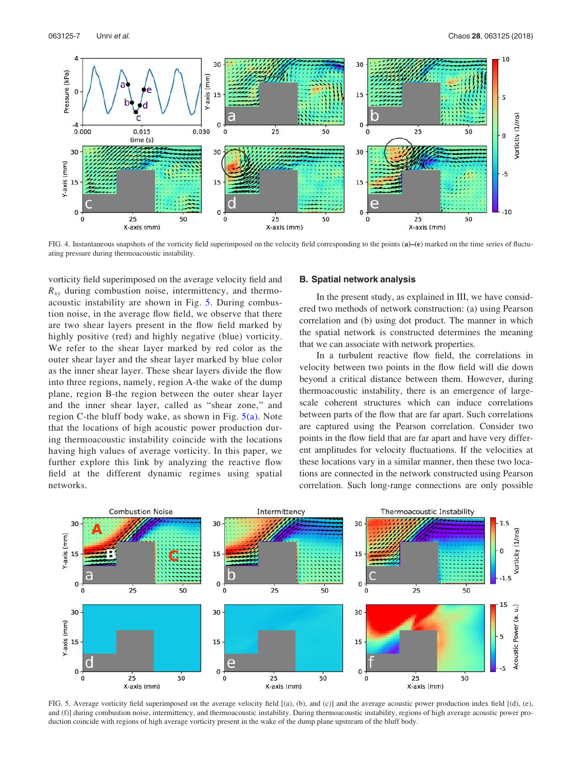

FIG. 4. Instantaneous snapshots of the vorticity field superimposed on the velocity field corresponding to the points  $(a)$ – $(e)$  marked on the time series of fluctuating pressure during thermoacoustic instability.

vorticity field superimposed on the average velocity field and *Rxy* during combustion noise, intermittency, and thermoacoustic instability are shown in Fig. 5. During combustion noise, in the average flow field, we observe that there are two shear layers present in the flow field marked by highly positive (red) and highly negative (blue) vorticity. We refer to the shear layer marked by red color as the outer shear layer and the shear layer marked by blue color as the inner shear layer. These shear layers divide the flow into three regions, namely, region A-the wake of the dump plane, region B-the region between the outer shear layer and the inner shear layer, called as "shear zone," and region C-the bluff body wake, as shown in Fig. 5(a). Note that the locations of high acoustic power production during thermoacoustic instability coincide with the locations having high values of average vorticity. In this paper, we further explore this link by analyzing the reactive flow field at the different dynamic regimes using spatial networks.

#### B. Spatial network analysis

In the present study, as explained in III, we have considered two methods of network construction: (a) using Pearson correlation and (b) using dot product. The manner in which the spatial network is constructed determines the meaning that we can associate with network properties.

In a turbulent reactive flow field, the correlations in velocity between two points in the flow field will die down beyond a critical distance between them. However, during thermoacoustic instability, there is an emergence of largescale coherent structures which can induce correlations between parts of the flow that are far apart. Such correlations are captured using the Pearson correlation. Consider two points in the flow field that are far apart and have very different amplitudes for velocity fluctuations. If the velocities at these locations vary in a similar manner, then these two locations are connected in the network constructed using Pearson correlation. Such long-range connections are only possible



FIG. 5. Average vorticity field superimposed on the average velocity field [(a), (b), and (c)] and the average acoustic power production index field [(d), (e), and (f)] during combustion noise, intermittency, and thermoacoustic instability. During thermoacoustic instability, regions of high average acoustic power production coincide with regions of high average vorticity present in the wake of the dump plane upstream of the bluff body.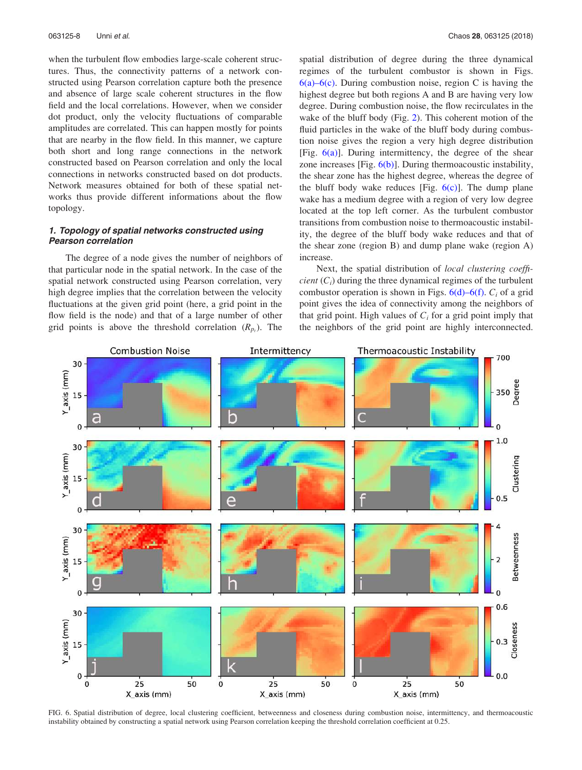when the turbulent flow embodies large-scale coherent structures. Thus, the connectivity patterns of a network constructed using Pearson correlation capture both the presence and absence of large scale coherent structures in the flow field and the local correlations. However, when we consider dot product, only the velocity fluctuations of comparable amplitudes are correlated. This can happen mostly for points that are nearby in the flow field. In this manner, we capture both short and long range connections in the network constructed based on Pearson correlation and only the local connections in networks constructed based on dot products. Network measures obtained for both of these spatial networks thus provide different informations about the flow topology.

## 1. Topology of spatial networks constructed using Pearson correlation

The degree of a node gives the number of neighbors of that particular node in the spatial network. In the case of the spatial network constructed using Pearson correlation, very high degree implies that the correlation between the velocity fluctuations at the given grid point (here, a grid point in the flow field is the node) and that of a large number of other grid points is above the threshold correlation  $(R_{p_t})$ . The

spatial distribution of degree during the three dynamical regimes of the turbulent combustor is shown in Figs.  $6(a)$ – $6(c)$ . During combustion noise, region C is having the highest degree but both regions A and B are having very low degree. During combustion noise, the flow recirculates in the wake of the bluff body (Fig. 2). This coherent motion of the fluid particles in the wake of the bluff body during combustion noise gives the region a very high degree distribution [Fig.  $6(a)$ ]. During intermittency, the degree of the shear zone increases [Fig.  $6(b)$ ]. During thermoacoustic instability, the shear zone has the highest degree, whereas the degree of the bluff body wake reduces [Fig.  $6(c)$ ]. The dump plane wake has a medium degree with a region of very low degree located at the top left corner. As the turbulent combustor transitions from combustion noise to thermoacoustic instability, the degree of the bluff body wake reduces and that of the shear zone (region B) and dump plane wake (region A) increase.

Next, the spatial distribution of *local clustering coefficient*  $(C_i)$  during the three dynamical regimes of the turbulent combustor operation is shown in Figs.  $6(d)$ – $6(f)$ . *C<sub>i</sub>* of a grid point gives the idea of connectivity among the neighbors of that grid point. High values of  $C<sub>i</sub>$  for a grid point imply that the neighbors of the grid point are highly interconnected.



FIG. 6. Spatial distribution of degree, local clustering coefficient, betweenness and closeness during combustion noise, intermittency, and thermoacoustic instability obtained by constructing a spatial network using Pearson correlation keeping the threshold correlation coefficient at 0.25.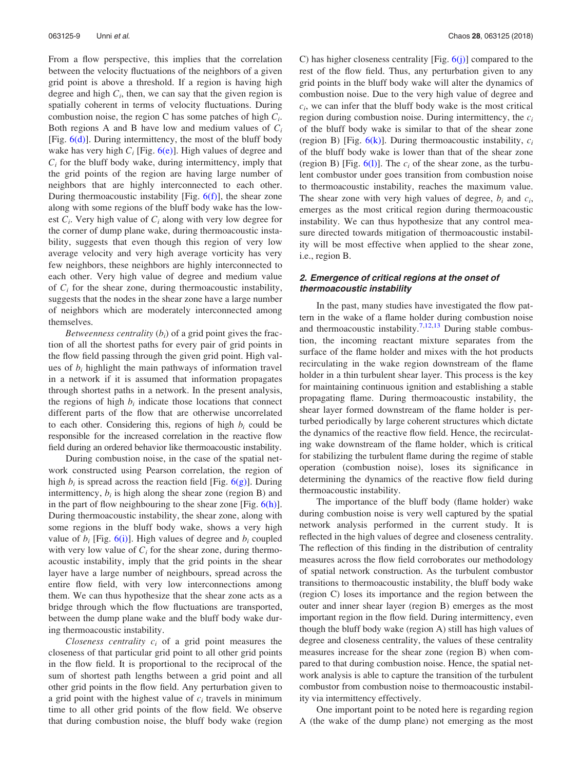From a flow perspective, this implies that the correlation between the velocity fluctuations of the neighbors of a given grid point is above a threshold. If a region is having high degree and high  $C_i$ , then, we can say that the given region is spatially coherent in terms of velocity fluctuations. During combustion noise, the region C has some patches of high *C<sup>i</sup>* . Both regions A and B have low and medium values of *C<sup>i</sup>* [Fig.  $6(d)$ ]. During intermittency, the most of the bluff body wake has very high *C<sup>i</sup>* [Fig. 6(e)]. High values of degree and  $C_i$  for the bluff body wake, during intermittency, imply that the grid points of the region are having large number of neighbors that are highly interconnected to each other. During thermoacoustic instability [Fig.  $6(f)$ ], the shear zone along with some regions of the bluff body wake has the lowest *C<sup>i</sup>* . Very high value of *C<sup>i</sup>* along with very low degree for the corner of dump plane wake, during thermoacoustic instability, suggests that even though this region of very low average velocity and very high average vorticity has very few neighbors, these neighbors are highly interconnected to each other. Very high value of degree and medium value of  $C_i$  for the shear zone, during thermoacoustic instability, suggests that the nodes in the shear zone have a large number of neighbors which are moderately interconnected among themselves.

*Betweenness centrality*  $(b_i)$  of a grid point gives the fraction of all the shortest paths for every pair of grid points in the flow field passing through the given grid point. High values of  $b_i$  highlight the main pathways of information travel in a network if it is assumed that information propagates through shortest paths in a network. In the present analysis, the regions of high  $b_i$  indicate those locations that connect different parts of the flow that are otherwise uncorrelated to each other. Considering this, regions of high  $b_i$  could be responsible for the increased correlation in the reactive flow field during an ordered behavior like thermoacoustic instability.

During combustion noise, in the case of the spatial network constructed using Pearson correlation, the region of high  $b_i$  is spread across the reaction field [Fig.  $6(g)$ ]. During intermittency,  $b_i$  is high along the shear zone (region B) and in the part of flow neighbouring to the shear zone [Fig.  $6(h)$ ]. During thermoacoustic instability, the shear zone, along with some regions in the bluff body wake, shows a very high value of  $b_i$  [Fig. 6(i)]. High values of degree and  $b_i$  coupled with very low value of  $C_i$  for the shear zone, during thermoacoustic instability, imply that the grid points in the shear layer have a large number of neighbours, spread across the entire flow field, with very low interconnections among them. We can thus hypothesize that the shear zone acts as a bridge through which the flow fluctuations are transported, between the dump plane wake and the bluff body wake during thermoacoustic instability.

*Closeness centrality*  $c_i$  of a grid point measures the closeness of that particular grid point to all other grid points in the flow field. It is proportional to the reciprocal of the sum of shortest path lengths between a grid point and all other grid points in the flow field. Any perturbation given to a grid point with the highest value of  $c_i$  travels in minimum time to all other grid points of the flow field. We observe that during combustion noise, the bluff body wake (region C) has higher closeness centrality [Fig.  $6(j)$ ] compared to the rest of the flow field. Thus, any perturbation given to any grid points in the bluff body wake will alter the dynamics of combustion noise. Due to the very high value of degree and  $c_i$ , we can infer that the bluff body wake is the most critical region during combustion noise. During intermittency, the *c<sup>i</sup>* of the bluff body wake is similar to that of the shear zone (region B) [Fig.  $6(k)$ ]. During thermoacoustic instability,  $c_i$ of the bluff body wake is lower than that of the shear zone (region B) [Fig.  $6(1)$ ]. The  $c_i$  of the shear zone, as the turbulent combustor under goes transition from combustion noise to thermoacoustic instability, reaches the maximum value. The shear zone with very high values of degree,  $b_i$  and  $c_i$ , emerges as the most critical region during thermoacoustic instability. We can thus hypothesize that any control measure directed towards mitigation of thermoacoustic instability will be most effective when applied to the shear zone, i.e., region B.

## 2. Emergence of critical regions at the onset of thermoacoustic instability

In the past, many studies have investigated the flow pattern in the wake of a flame holder during combustion noise and thermoacoustic instability.<sup>7,12,13</sup> During stable combustion, the incoming reactant mixture separates from the surface of the flame holder and mixes with the hot products recirculating in the wake region downstream of the flame holder in a thin turbulent shear layer. This process is the key for maintaining continuous ignition and establishing a stable propagating flame. During thermoacoustic instability, the shear layer formed downstream of the flame holder is perturbed periodically by large coherent structures which dictate the dynamics of the reactive flow field. Hence, the recirculating wake downstream of the flame holder, which is critical for stabilizing the turbulent flame during the regime of stable operation (combustion noise), loses its significance in determining the dynamics of the reactive flow field during thermoacoustic instability.

The importance of the bluff body (flame holder) wake during combustion noise is very well captured by the spatial network analysis performed in the current study. It is reflected in the high values of degree and closeness centrality. The reflection of this finding in the distribution of centrality measures across the flow field corroborates our methodology of spatial network construction. As the turbulent combustor transitions to thermoacoustic instability, the bluff body wake (region C) loses its importance and the region between the outer and inner shear layer (region B) emerges as the most important region in the flow field. During intermittency, even though the bluff body wake (region A) still has high values of degree and closeness centrality, the values of these centrality measures increase for the shear zone (region B) when compared to that during combustion noise. Hence, the spatial network analysis is able to capture the transition of the turbulent combustor from combustion noise to thermoacoustic instability via intermittency effectively.

One important point to be noted here is regarding region A (the wake of the dump plane) not emerging as the most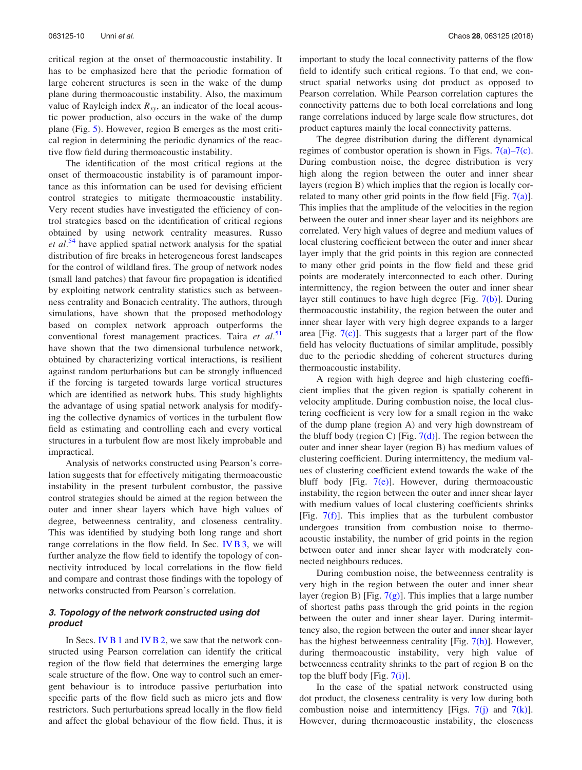critical region at the onset of thermoacoustic instability. It has to be emphasized here that the periodic formation of large coherent structures is seen in the wake of the dump plane during thermoacoustic instability. Also, the maximum value of Rayleigh index  $R_{xy}$ , an indicator of the local acoustic power production, also occurs in the wake of the dump plane (Fig. 5). However, region B emerges as the most critical region in determining the periodic dynamics of the reactive flow field during thermoacoustic instability.

The identification of the most critical regions at the onset of thermoacoustic instability is of paramount importance as this information can be used for devising efficient control strategies to mitigate thermoacoustic instability. Very recent studies have investigated the efficiency of control strategies based on the identification of critical regions obtained by using network centrality measures. Russo *et al.*<sup>54</sup> have applied spatial network analysis for the spatial distribution of fire breaks in heterogeneous forest landscapes for the control of wildland fires. The group of network nodes (small land patches) that favour fire propagation is identified by exploiting network centrality statistics such as betweenness centrality and Bonacich centrality. The authors, through simulations, have shown that the proposed methodology based on complex network approach outperforms the conventional forest management practices. Taira *et al.*<sup>51</sup> have shown that the two dimensional turbulence network, obtained by characterizing vortical interactions, is resilient against random perturbations but can be strongly influenced if the forcing is targeted towards large vortical structures which are identified as network hubs. This study highlights the advantage of using spatial network analysis for modifying the collective dynamics of vortices in the turbulent flow field as estimating and controlling each and every vortical structures in a turbulent flow are most likely improbable and impractical.

Analysis of networks constructed using Pearson's correlation suggests that for effectively mitigating thermoacoustic instability in the present turbulent combustor, the passive control strategies should be aimed at the region between the outer and inner shear layers which have high values of degree, betweenness centrality, and closeness centrality. This was identified by studying both long range and short range correlations in the flow field. In Sec. IV B 3, we will further analyze the flow field to identify the topology of connectivity introduced by local correlations in the flow field and compare and contrast those findings with the topology of networks constructed from Pearson's correlation.

### 3. Topology of the network constructed using dot product

In Secs. IV  $B$  1 and IV  $B$  2, we saw that the network constructed using Pearson correlation can identify the critical region of the flow field that determines the emerging large scale structure of the flow. One way to control such an emergent behaviour is to introduce passive perturbation into specific parts of the flow field such as micro jets and flow restrictors. Such perturbations spread locally in the flow field and affect the global behaviour of the flow field. Thus, it is important to study the local connectivity patterns of the flow field to identify such critical regions. To that end, we construct spatial networks using dot product as opposed to Pearson correlation. While Pearson correlation captures the connectivity patterns due to both local correlations and long range correlations induced by large scale flow structures, dot product captures mainly the local connectivity patterns.

The degree distribution during the different dynamical regimes of combustor operation is shown in Figs.  $7(a)$ – $7(c)$ . During combustion noise, the degree distribution is very high along the region between the outer and inner shear layers (region B) which implies that the region is locally correlated to many other grid points in the flow field [Fig.  $7(a)$ ]. This implies that the amplitude of the velocities in the region between the outer and inner shear layer and its neighbors are correlated. Very high values of degree and medium values of local clustering coefficient between the outer and inner shear layer imply that the grid points in this region are connected to many other grid points in the flow field and these grid points are moderately interconnected to each other. During intermittency, the region between the outer and inner shear layer still continues to have high degree [Fig. 7(b)]. During thermoacoustic instability, the region between the outer and inner shear layer with very high degree expands to a larger area [Fig.  $7(c)$ ]. This suggests that a larger part of the flow field has velocity fluctuations of similar amplitude, possibly due to the periodic shedding of coherent structures during thermoacoustic instability.

A region with high degree and high clustering coefficient implies that the given region is spatially coherent in velocity amplitude. During combustion noise, the local clustering coefficient is very low for a small region in the wake of the dump plane (region A) and very high downstream of the bluff body (region C) [Fig.  $7(d)$ ]. The region between the outer and inner shear layer (region B) has medium values of clustering coefficient. During intermittency, the medium values of clustering coefficient extend towards the wake of the bluff body [Fig.  $7(e)$ ]. However, during thermoacoustic instability, the region between the outer and inner shear layer with medium values of local clustering coefficients shrinks [Fig.  $7(f)$ ]. This implies that as the turbulent combustor undergoes transition from combustion noise to thermoacoustic instability, the number of grid points in the region between outer and inner shear layer with moderately connected neighbours reduces.

During combustion noise, the betweenness centrality is very high in the region between the outer and inner shear layer (region B) [Fig.  $7(g)$ ]. This implies that a large number of shortest paths pass through the grid points in the region between the outer and inner shear layer. During intermittency also, the region between the outer and inner shear layer has the highest betweenness centrality [Fig. 7(h)]. However, during thermoacoustic instability, very high value of betweenness centrality shrinks to the part of region B on the top the bluff body [Fig.  $7(i)$ ].

In the case of the spatial network constructed using dot product, the closeness centrality is very low during both combustion noise and intermittency [Figs.  $7(i)$  and  $7(k)$ ]. However, during thermoacoustic instability, the closeness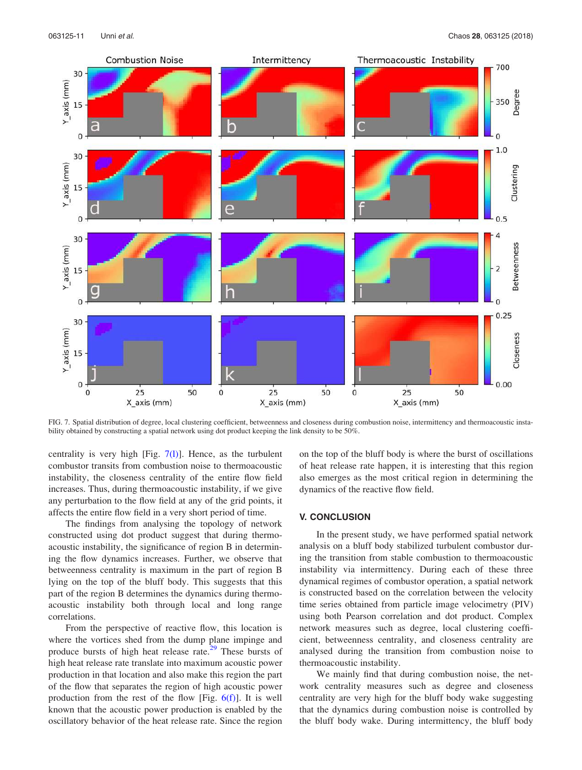

FIG. 7. Spatial distribution of degree, local clustering coefficient, betweenness and closeness during combustion noise, intermittency and thermoacoustic instability obtained by constructing a spatial network using dot product keeping the link density to be 50%.

centrality is very high [Fig.  $7(1)$ ]. Hence, as the turbulent combustor transits from combustion noise to thermoacoustic instability, the closeness centrality of the entire flow field increases. Thus, during thermoacoustic instability, if we give any perturbation to the flow field at any of the grid points, it affects the entire flow field in a very short period of time.

The findings from analysing the topology of network constructed using dot product suggest that during thermoacoustic instability, the significance of region B in determining the flow dynamics increases. Further, we observe that betweenness centrality is maximum in the part of region B lying on the top of the bluff body. This suggests that this part of the region B determines the dynamics during thermoacoustic instability both through local and long range correlations.

From the perspective of reactive flow, this location is where the vortices shed from the dump plane impinge and produce bursts of high heat release rate. $29$  These bursts of high heat release rate translate into maximum acoustic power production in that location and also make this region the part of the flow that separates the region of high acoustic power production from the rest of the flow [Fig.  $6(f)$ ]. It is well known that the acoustic power production is enabled by the oscillatory behavior of the heat release rate. Since the region on the top of the bluff body is where the burst of oscillations of heat release rate happen, it is interesting that this region also emerges as the most critical region in determining the dynamics of the reactive flow field.

## V. CONCLUSION

In the present study, we have performed spatial network analysis on a bluff body stabilized turbulent combustor during the transition from stable combustion to thermoacoustic instability via intermittency. During each of these three dynamical regimes of combustor operation, a spatial network is constructed based on the correlation between the velocity time series obtained from particle image velocimetry (PIV) using both Pearson correlation and dot product. Complex network measures such as degree, local clustering coefficient, betweenness centrality, and closeness centrality are analysed during the transition from combustion noise to thermoacoustic instability.

We mainly find that during combustion noise, the network centrality measures such as degree and closeness centrality are very high for the bluff body wake suggesting that the dynamics during combustion noise is controlled by the bluff body wake. During intermittency, the bluff body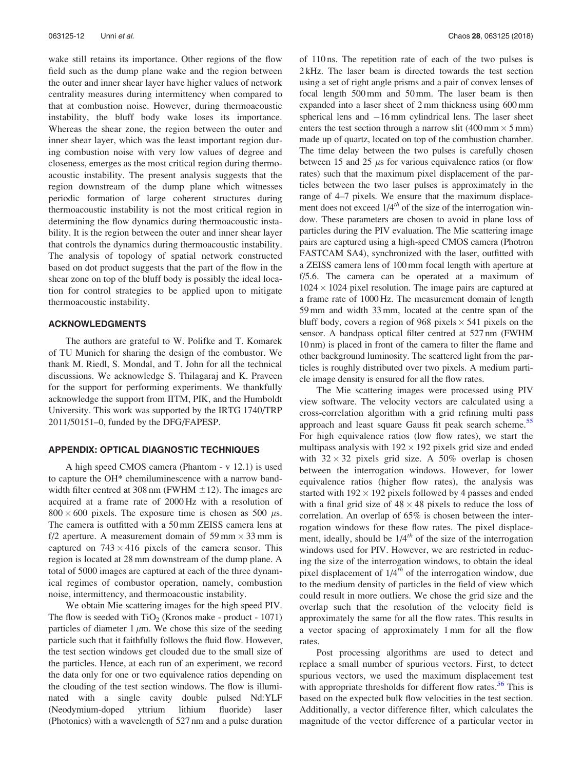wake still retains its importance. Other regions of the flow field such as the dump plane wake and the region between the outer and inner shear layer have higher values of network centrality measures during intermittency when compared to that at combustion noise. However, during thermoacoustic instability, the bluff body wake loses its importance. Whereas the shear zone, the region between the outer and inner shear layer, which was the least important region during combustion noise with very low values of degree and closeness, emerges as the most critical region during thermoacoustic instability. The present analysis suggests that the region downstream of the dump plane which witnesses periodic formation of large coherent structures during thermoacoustic instability is not the most critical region in determining the flow dynamics during thermoacoustic instability. It is the region between the outer and inner shear layer that controls the dynamics during thermoacoustic instability. The analysis of topology of spatial network constructed based on dot product suggests that the part of the flow in the shear zone on top of the bluff body is possibly the ideal location for control strategies to be applied upon to mitigate thermoacoustic instability.

## ACKNOWLEDGMENTS

The authors are grateful to W. Polifke and T. Komarek of TU Munich for sharing the design of the combustor. We thank M. Riedl, S. Mondal, and T. John for all the technical discussions. We acknowledge S. Thilagaraj and K. Praveen for the support for performing experiments. We thankfully acknowledge the support from IITM, PIK, and the Humboldt University. This work was supported by the IRTG 1740/TRP 2011/50151–0, funded by the DFG/FAPESP.

## APPENDIX: OPTICAL DIAGNOSTIC TECHNIQUES

A high speed CMOS camera (Phantom - v 12.1) is used to capture the OH\* chemiluminescence with a narrow bandwidth filter centred at 308 nm (FWHM  $\pm$ 12). The images are acquired at a frame rate of 2000 Hz with a resolution of  $800 \times 600$  pixels. The exposure time is chosen as 500  $\mu$ s. The camera is outfitted with a 50 mm ZEISS camera lens at f/2 aperture. A measurement domain of  $59 \text{ mm} \times 33 \text{ mm}$  is captured on  $743 \times 416$  pixels of the camera sensor. This region is located at 28 mm downstream of the dump plane. A total of 5000 images are captured at each of the three dynamical regimes of combustor operation, namely, combustion noise, intermittency, and thermoacoustic instability.

We obtain Mie scattering images for the high speed PIV. The flow is seeded with  $TiO<sub>2</sub>$  (Kronos make - product - 1071) particles of diameter  $1 \mu m$ . We chose this size of the seeding particle such that it faithfully follows the fluid flow. However, the test section windows get clouded due to the small size of the particles. Hence, at each run of an experiment, we record the data only for one or two equivalence ratios depending on the clouding of the test section windows. The flow is illuminated with a single cavity double pulsed Nd:YLF (Neodymium-doped yttrium lithium fluoride) laser (Photonics) with a wavelength of 527 nm and a pulse duration of 110 ns. The repetition rate of each of the two pulses is 2 kHz. The laser beam is directed towards the test section using a set of right angle prisms and a pair of convex lenses of focal length 500 mm and 50 mm. The laser beam is then expanded into a laser sheet of 2 mm thickness using 600 mm spherical lens and  $-16$  mm cylindrical lens. The laser sheet enters the test section through a narrow slit  $(400 \text{ mm} \times 5 \text{ mm})$ made up of quartz, located on top of the combustion chamber. The time delay between the two pulses is carefully chosen between 15 and 25  $\mu$ s for various equivalence ratios (or flow rates) such that the maximum pixel displacement of the particles between the two laser pulses is approximately in the range of 4–7 pixels. We ensure that the maximum displacement does not exceed  $1/4<sup>th</sup>$  of the size of the interrogation window. These parameters are chosen to avoid in plane loss of particles during the PIV evaluation. The Mie scattering image pairs are captured using a high-speed CMOS camera (Photron FASTCAM SA4), synchronized with the laser, outfitted with a ZEISS camera lens of 100 mm focal length with aperture at f/5.6. The camera can be operated at a maximum of  $1024 \times 1024$  pixel resolution. The image pairs are captured at a frame rate of 1000 Hz. The measurement domain of length 59 mm and width 33 mm, located at the centre span of the bluff body, covers a region of 968 pixels  $\times$  541 pixels on the sensor. A bandpass optical filter centred at 527 nm (FWHM 10 nm) is placed in front of the camera to filter the flame and other background luminosity. The scattered light from the particles is roughly distributed over two pixels. A medium particle image density is ensured for all the flow rates.

The Mie scattering images were processed using PIV view software. The velocity vectors are calculated using a cross-correlation algorithm with a grid refining multi pass approach and least square Gauss fit peak search scheme.<sup>55</sup> For high equivalence ratios (low flow rates), we start the multipass analysis with  $192 \times 192$  pixels grid size and ended with  $32 \times 32$  pixels grid size. A 50% overlap is chosen between the interrogation windows. However, for lower equivalence ratios (higher flow rates), the analysis was started with  $192 \times 192$  pixels followed by 4 passes and ended with a final grid size of  $48 \times 48$  pixels to reduce the loss of correlation. An overlap of 65% is chosen between the interrogation windows for these flow rates. The pixel displacement, ideally, should be 1/4*th* of the size of the interrogation windows used for PIV. However, we are restricted in reducing the size of the interrogation windows, to obtain the ideal pixel displacement of 1/4*th* of the interrogation window, due to the medium density of particles in the field of view which could result in more outliers. We chose the grid size and the overlap such that the resolution of the velocity field is approximately the same for all the flow rates. This results in a vector spacing of approximately 1 mm for all the flow rates.

Post processing algorithms are used to detect and replace a small number of spurious vectors. First, to detect spurious vectors, we used the maximum displacement test with appropriate thresholds for different flow rates.<sup>56</sup> This is based on the expected bulk flow velocities in the test section. Additionally, a vector difference filter, which calculates the magnitude of the vector difference of a particular vector in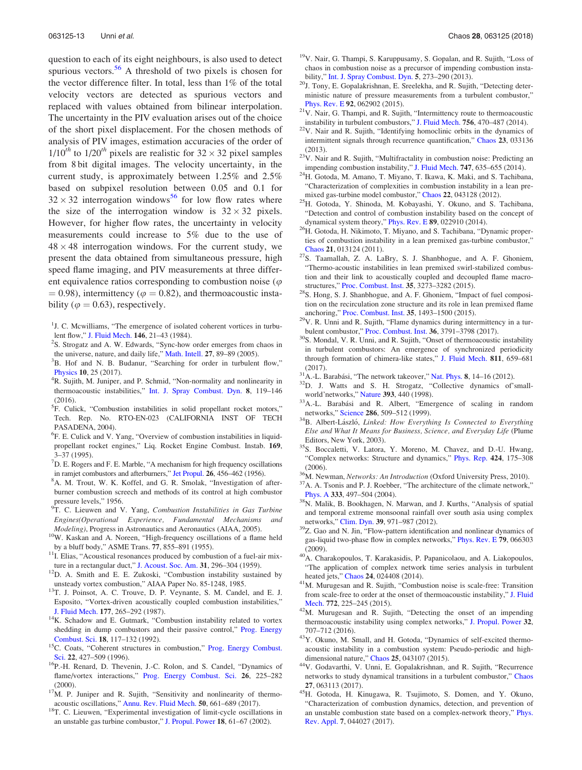question to each of its eight neighbours, is also used to detect spurious vectors.<sup>56</sup> A threshold of two pixels is chosen for the vector difference filter. In total, less than 1% of the total velocity vectors are detected as spurious vectors and replaced with values obtained from bilinear interpolation. The uncertainty in the PIV evaluation arises out of the choice of the short pixel displacement. For the chosen methods of analysis of PIV images, estimation accuracies of the order of  $1/10^{th}$  to  $1/20^{th}$  pixels are realistic for  $32 \times 32$  pixel samples from 8 bit digital images. The velocity uncertainty, in the current study, is approximately between 1.25% and 2.5% based on subpixel resolution between 0.05 and 0.1 for  $32 \times 32$  interrogation windows<sup>56</sup> for low flow rates where the size of the interrogation window is  $32 \times 32$  pixels. However, for higher flow rates, the uncertainty in velocity measurements could increase to 5% due to the use of  $48 \times 48$  interrogation windows. For the current study, we present the data obtained from simultaneous pressure, high speed flame imaging, and PIV measurements at three different equivalence ratios corresponding to combustion noise ( $\varphi$  $(0.98)$ , intermittency ( $\varphi = 0.82$ ), and thermoacoustic instability ( $\varphi = 0.63$ ), respectively.

- <sup>1</sup>J. C. Mcwilliams, "The emergence of isolated coherent vortices in turbulent flow," J. Fluid Mech. 146, 21–43 (1984).
- <sup>2</sup>S. Strogatz and A. W. Edwards, "Sync-how order emerges from chaos in the universe, nature, and daily life," Math. Intell. 27, 89–89 (2005).
- <sup>3</sup>B. Hof and N. B. Budanur, "Searching for order in turbulent flow," Physics 10, 25 (2017).
- <sup>4</sup>R. Sujith, M. Juniper, and P. Schmid, "Non-normality and nonlinearity in thermoacoustic instabilities," Int. J. Spray Combust. Dyn. 8, 119–146 (2016).
- <sup>5</sup>F. Culick, "Combustion instabilities in solid propellant rocket motors," Tech. Rep. No. RTO-EN-023 (CALIFORNIA INST OF TECH PASADENA, 2004).
- <sup>6</sup>F. E. Culick and V. Yang, "Overview of combustion instabilities in liquidpropellant rocket engines," Liq. Rocket Engine Combust. Instab. 169, 3–37 (1995).
- $<sup>7</sup>D$ . E. Rogers and F. E. Marble, "A mechanism for high frequency oscillations</sup> in ramjet combustors and afterburners," Jet Propul. 26, 456–462 (1956).
- <sup>8</sup>A. M. Trout, W. K. Koffel, and G. R. Smolak, "Investigation of afterburner combustion screech and methods of its control at high combustor pressure levels," 1956.
- 9 T. C. Lieuwen and V. Yang, *Combustion Instabilities in Gas Turbine Engines(Operational Experience, Fundamental Mechanisms and Modeling)*, Progress in Astronautics and Aeronautics (AIAA, 2005).
- <sup>10</sup>W. Kaskan and A. Noreen, "High-frequency oscillations of a flame held by a bluff body," ASME Trans. 77, 855–891 (1955).
- <sup>11</sup>I. Elias, "Acoustical resonances produced by combustion of a fuel-air mixture in a rectangular duct," J. Acoust. Soc. Am. 31, 296–304 (1959).
- <sup>12</sup>D. A. Smith and E. E. Zukoski, "Combustion instability sustained by unsteady vortex combustion," AIAA Paper No. 85-1248, 1985.
- <sup>13</sup>T. J. Poinsot, A. C. Trouve, D. P. Veynante, S. M. Candel, and E. J. Esposito, "Vortex-driven acoustically coupled combustion instabilities," J. Fluid Mech. 177, 265–292 (1987).
- <sup>14</sup>K. Schadow and E. Gutmark, "Combustion instability related to vortex shedding in dump combustors and their passive control," Prog. Energy Combust. Sci. 18, 117–132 (1992).
- <sup>15</sup>C. Coats, "Coherent structures in combustion," Prog. Energy Combust. Sci. 22, 427–509 (1996).
- <sup>16</sup>P.-H. Renard, D. Thevenin, J.-C. Rolon, and S. Candel, "Dynamics of flame/vortex interactions," Prog. Energy Combust. Sci. 26, 225–282 (2000).
- <sup>17</sup>M. P. Juniper and R. Sujith, "Sensitivity and nonlinearity of thermoacoustic oscillations," Annu. Rev. Fluid Mech. 50, 661–689 (2017).
- <sup>18</sup>T. C. Lieuwen, "Experimental investigation of limit-cycle oscillations in an unstable gas turbine combustor," J. Propul. Power 18, 61–67 (2002).
- <sup>19</sup>V. Nair, G. Thampi, S. Karuppusamy, S. Gopalan, and R. Sujith, "Loss of chaos in combustion noise as a precursor of impending combustion instability," Int. J. Spray Combust. Dyn. 5, 273–290 (2013).
- <sup>20</sup>J. Tony, E. Gopalakrishnan, E. Sreelekha, and R. Sujith, "Detecting deterministic nature of pressure measurements from a turbulent combustor," Phys. Rev. E 92, 062902 (2015).
- $21V$ . Nair, G. Thampi, and R. Sujith, "Intermittency route to thermoacoustic instability in turbulent combustors," J. Fluid Mech. 756, 470–487 (2014).
- <sup>22</sup>V. Nair and R. Sujith, "Identifying homoclinic orbits in the dynamics of intermittent signals through recurrence quantification," Chaos 23, 033136 (2013).
- <sup>23</sup>V. Nair and R. Sujith, "Multifractality in combustion noise: Predicting an impending combustion instability," J. Fluid Mech. 747, 635–655 (2014).
- <sup>24</sup>H. Gotoda, M. Amano, T. Miyano, T. Ikawa, K. Maki, and S. Tachibana, "Characterization of complexities in combustion instability in a lean premixed gas-turbine model combustor," Chaos 22, 043128 (2012).
- <sup>25</sup>H. Gotoda, Y. Shinoda, M. Kobayashi, Y. Okuno, and S. Tachibana, "Detection and control of combustion instability based on the concept of dynamical system theory," Phys. Rev. E 89, 022910 (2014).
- <sup>26</sup>H. Gotoda, H. Nikimoto, T. Miyano, and S. Tachibana, "Dynamic properties of combustion instability in a lean premixed gas-turbine combustor," Chaos 21, 013124 (2011).
- <sup>27</sup>S. Taamallah, Z. A. LaBry, S. J. Shanbhogue, and A. F. Ghoniem, "Thermo-acoustic instabilities in lean premixed swirl-stabilized combustion and their link to acoustically coupled and decoupled flame macrostructures," Proc. Combust. Inst. 35, 3273–3282 (2015).
- <sup>28</sup>S. Hong, S. J. Shanbhogue, and A. F. Ghoniem, "Impact of fuel composition on the recirculation zone structure and its role in lean premixed flame anchoring," Proc. Combust. Inst. 35, 1493–1500 (2015).
- $29V$ . R. Unni and R. Sujith, "Flame dynamics during intermittency in a turbulent combustor," Proc. Combust. Inst. 36, 3791–3798 (2017).
- <sup>30</sup>S. Mondal, V. R. Unni, and R. Sujith, "Onset of thermoacoustic instability in turbulent combustors: An emergence of synchronized periodicity through formation of chimera-like states," J. Fluid Mech. 811, 659–681 (2017).
- $31A$ .-L. Barabási, "The network takeover," Nat. Phys. 8, 14-16 (2012).
- <sup>32</sup>D. J. Watts and S. H. Strogatz, "Collective dynamics of'smallworld'networks," Nature 393, 440 (1998).
- <sup>33</sup>A.-L. Barabási and R. Albert, "Emergence of scaling in random networks," Science 286, 509–512 (1999).
- <sup>34</sup>B. Albert-Laszlo, *Linked: How Everything Is Connected to Everything Else and What It Means for Business, Science, and Everyday Life* (Plume Editors, New York, 2003).
- <sup>35</sup>S. Boccaletti, V. Latora, Y. Moreno, M. Chavez, and D.-U. Hwang, "Complex networks: Structure and dynamics," Phys. Rep. 424, 175–308 (2006).
- <sup>36</sup>M. Newman, *Networks: An Introduction* (Oxford University Press, 2010).
- <sup>37</sup>A. A. Tsonis and P. J. Roebber, "The architecture of the climate network," Phys. A 333, 497–504 (2004).
- <sup>38</sup>N. Malik, B. Bookhagen, N. Marwan, and J. Kurths, "Analysis of spatial and temporal extreme monsoonal rainfall over south asia using complex networks," Clim. Dyn. 39, 971–987 (2012).
- <sup>39</sup>Z. Gao and N. Jin, "Flow-pattern identification and nonlinear dynamics of gas-liquid two-phase flow in complex networks," Phys. Rev. E 79, 066303 (2009).
- <sup>40</sup>A. Charakopoulos, T. Karakasidis, P. Papanicolaou, and A. Liakopoulos, "The application of complex network time series analysis in turbulent heated jets," Chaos 24, 024408 (2014).
- <sup>41</sup>M. Murugesan and R. Sujith, "Combustion noise is scale-free: Transition from scale-free to order at the onset of thermoacoustic instability," J. Fluid Mech. 772, 225–245 (2015).
- <sup>42</sup>M. Murugesan and R. Sujith, "Detecting the onset of an impending thermoacoustic instability using complex networks," J. Propul. Power 32, 707–712 (2016).
- <sup>43</sup>Y. Okuno, M. Small, and H. Gotoda, "Dynamics of self-excited thermoacoustic instability in a combustion system: Pseudo-periodic and highdimensional nature," Chaos 25, 043107 (2015).
- <sup>44</sup>V. Godavarthi, V. Unni, E. Gopalakrishnan, and R. Sujith, "Recurrence networks to study dynamical transitions in a turbulent combustor," Chaos 27, 063113 (2017).
- <sup>45</sup>H. Gotoda, H. Kinugawa, R. Tsujimoto, S. Domen, and Y. Okuno, "Characterization of combustion dynamics, detection, and prevention of an unstable combustion state based on a complex-network theory," Phys. Rev. Appl. 7, 044027 (2017).